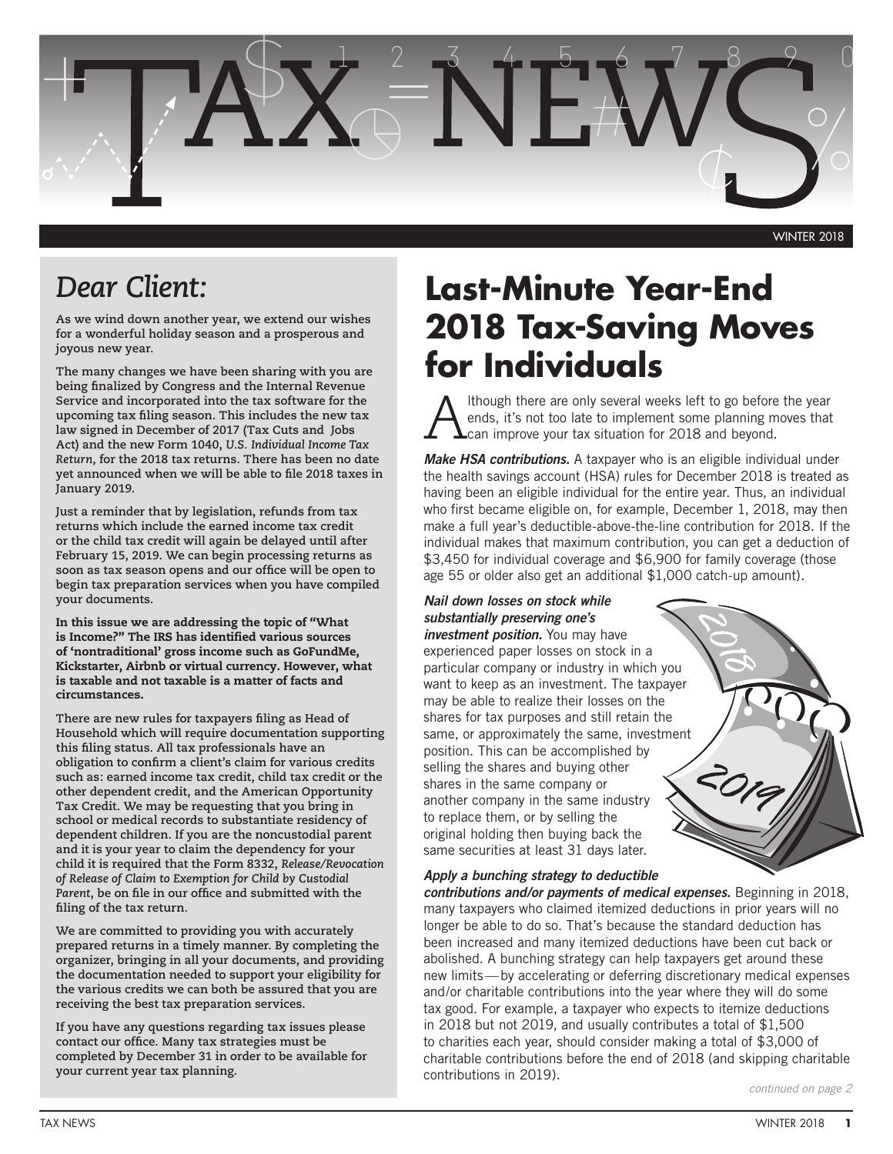

# *Dear Client:*

**As we wind down another year, we extend our wishes for a wonderful holiday season and a prosperous and joyous new year.**

**The many changes we have been sharing with you are being finalized by Congress and the Internal Revenue Service and incorporated into the tax software for the upcoming tax filing season. This includes the new tax law signed in December of 2017 (Tax Cuts and Jobs Act) and the new Form 1040,** *U.S. Individual Income Tax Return***, for the 2018 tax returns. There has been no date yet announced when we will be able to file 2018 taxes in January 2019.**

**Just a reminder that by legislation, refunds from tax returns which include the earned income tax credit or the child tax credit will again be delayed until after February 15, 2019. We can begin processing returns as soon as tax season opens and our office will be open to begin tax preparation services when you have compiled your documents.** 

In this issue we are addressing the topic of "What is Income?" The IRS has identified various sources of 'nontraditional' gross income such as GoFundMe, Kickstarter, Airbnb or virtual currency. However, what is taxable and not taxable is a matter of facts and circumstances.

**There are new rules for taxpayers filing as Head of Household which will require documentation supporting this filing status. All tax professionals have an obligation to confirm a client's claim for various credits such as: earned income tax credit, child tax credit or the other dependent credit, and the American Opportunity Tax Credit. We may be requesting that you bring in school or medical records to substantiate residency of dependent children. If you are the noncustodial parent and it is your year to claim the dependency for your child it is required that the Form 8332,** *Release/Revocation of Release of Claim to Exemption for Child by Custodial Parent***, be on file in our office and submitted with the filing of the tax return.**

**We are committed to providing you with accurately prepared returns in a timely manner. By completing the organizer, bringing in all your documents, and providing the documentation needed to support your eligibility for the various credits we can both be assured that you are receiving the best tax preparation services.**

**If you have any questions regarding tax issues please contact our office. Many tax strategies must be completed by December 31 in order to be available for your current year tax planning.**

# **Last-Minute Year-End 2018 Tax-Saving Moves for Individuals**

Ithough there are only several weeks left to go before the year ends, it's not too late to implement some planning moves that  $\blacktriangle$ can improve your tax situation for 2018 and beyond.

*Make HSA contributions.* A taxpayer who is an eligible individual under the health savings account (HSA) rules for December 2018 is treated as having been an eligible individual for the entire year. Thus, an individual who first became eligible on, for example, December 1, 2018, may then make a full year's deductible-above-the-line contribution for 2018. If the individual makes that maximum contribution, you can get a deduction of \$3,450 for individual coverage and \$6,900 for family coverage (those age 55 or older also get an additional \$1,000 catch-up amount).

## *Nail down losses on stock while substantially preserving one's*

*investment position.* You may have experienced paper losses on stock in a particular company or industry in which you want to keep as an investment. The taxpayer may be able to realize their losses on the shares for tax purposes and still retain the same, or approximately the same, investment position. This can be accomplished by selling the shares and buying other shares in the same company or another company in the same industry to replace them, or by selling the original holding then buying back the same securities at least 31 days later.

#### *Apply a bunching strategy to deductible*

*contributions and/or payments of medical expenses.* Beginning in 2018, many taxpayers who claimed itemized deductions in prior years will no longer be able to do so. That's because the standard deduction has been increased and many itemized deductions have been cut back or abolished. A bunching strategy can help taxpayers get around these new limits—by accelerating or deferring discretionary medical expenses and/or charitable contributions into the year where they will do some tax good. For example, a taxpayer who expects to itemize deductions in 2018 but not 2019, and usually contributes a total of \$1,500 to charities each year, should consider making a total of \$3,000 of charitable contributions before the end of 2018 (and skipping charitable contributions in 2019).

*continued on page 2*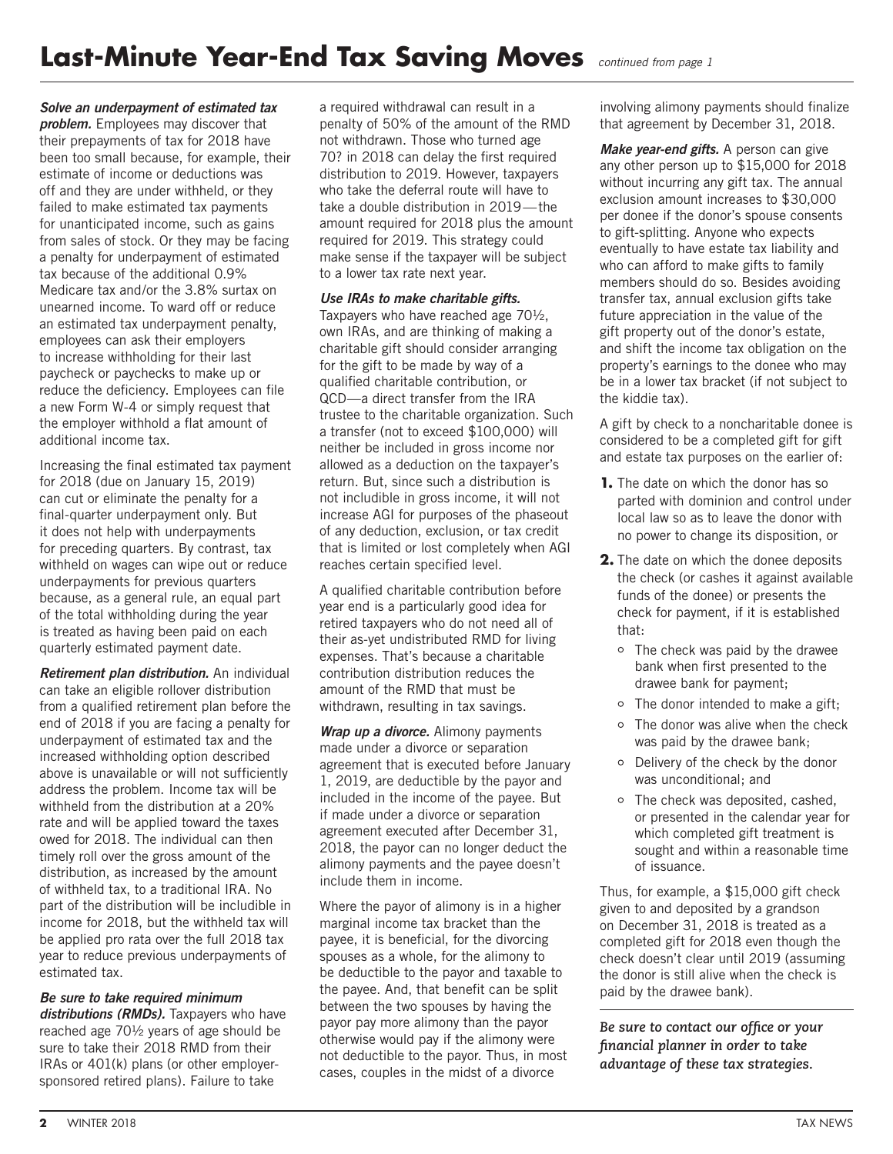#### *Solve an underpayment of estimated tax*

*problem.* Employees may discover that their prepayments of tax for 2018 have been too small because, for example, their estimate of income or deductions was off and they are under withheld, or they failed to make estimated tax payments for unanticipated income, such as gains from sales of stock. Or they may be facing a penalty for underpayment of estimated tax because of the additional 0.9% Medicare tax and/or the 3.8% surtax on unearned income. To ward off or reduce an estimated tax underpayment penalty, employees can ask their employers to increase withholding for their last paycheck or paychecks to make up or reduce the deficiency. Employees can file a new Form W-4 or simply request that the employer withhold a flat amount of additional income tax.

Increasing the final estimated tax payment for 2018 (due on January 15, 2019) can cut or eliminate the penalty for a final-quarter underpayment only. But it does not help with underpayments for preceding quarters. By contrast, tax withheld on wages can wipe out or reduce underpayments for previous quarters because, as a general rule, an equal part of the total withholding during the year is treated as having been paid on each quarterly estimated payment date.

*Retirement plan distribution.* An individual can take an eligible rollover distribution from a qualified retirement plan before the end of 2018 if you are facing a penalty for underpayment of estimated tax and the increased withholding option described above is unavailable or will not sufficiently address the problem. Income tax will be withheld from the distribution at a 20% rate and will be applied toward the taxes owed for 2018. The individual can then timely roll over the gross amount of the distribution, as increased by the amount of withheld tax, to a traditional IRA. No part of the distribution will be includible in income for 2018, but the withheld tax will be applied pro rata over the full 2018 tax year to reduce previous underpayments of estimated tax.

#### *Be sure to take required minimum*  distributions (RMDs). Taxpayers who have reached age 70½ years of age should be sure to take their 2018 RMD from their IRAs or 401(k) plans (or other employersponsored retired plans). Failure to take

a required withdrawal can result in a penalty of 50% of the amount of the RMD not withdrawn. Those who turned age 70? in 2018 can delay the first required distribution to 2019. However, taxpayers who take the deferral route will have to take a double distribution in 2019—the amount required for 2018 plus the amount required for 2019. This strategy could make sense if the taxpayer will be subject to a lower tax rate next year.

#### *Use IRAs to make charitable gifts.*

Taxpayers who have reached age 70½, own IRAs, and are thinking of making a charitable gift should consider arranging for the gift to be made by way of a qualified charitable contribution, or QCD—a direct transfer from the IRA trustee to the charitable organization. Such a transfer (not to exceed \$100,000) will neither be included in gross income nor allowed as a deduction on the taxpayer's return. But, since such a distribution is not includible in gross income, it will not increase AGI for purposes of the phaseout of any deduction, exclusion, or tax credit that is limited or lost completely when AGI reaches certain specified level.

A qualified charitable contribution before year end is a particularly good idea for retired taxpayers who do not need all of their as-yet undistributed RMD for living expenses. That's because a charitable contribution distribution reduces the amount of the RMD that must be withdrawn, resulting in tax savings.

*Wrap up a divorce.* Alimony payments made under a divorce or separation agreement that is executed before January 1, 2019, are deductible by the payor and included in the income of the payee. But if made under a divorce or separation agreement executed after December 31, 2018, the payor can no longer deduct the alimony payments and the payee doesn't include them in income.

Where the payor of alimony is in a higher marginal income tax bracket than the payee, it is beneficial, for the divorcing spouses as a whole, for the alimony to be deductible to the payor and taxable to the payee. And, that benefit can be split between the two spouses by having the payor pay more alimony than the payor otherwise would pay if the alimony were not deductible to the payor. Thus, in most cases, couples in the midst of a divorce

involving alimony payments should finalize that agreement by December 31, 2018.

*Make year-end gifts.* A person can give any other person up to \$15,000 for 2018 without incurring any gift tax. The annual exclusion amount increases to \$30,000 per donee if the donor's spouse consents to gift-splitting. Anyone who expects eventually to have estate tax liability and who can afford to make gifts to family members should do so. Besides avoiding transfer tax, annual exclusion gifts take future appreciation in the value of the gift property out of the donor's estate, and shift the income tax obligation on the property's earnings to the donee who may be in a lower tax bracket (if not subject to the kiddie tax).

A gift by check to a noncharitable donee is considered to be a completed gift for gift and estate tax purposes on the earlier of:

- **1.** The date on which the donor has so parted with dominion and control under local law so as to leave the donor with no power to change its disposition, or
- **2.** The date on which the donee deposits the check (or cashes it against available funds of the donee) or presents the check for payment, if it is established that:
	- The check was paid by the drawee bank when first presented to the drawee bank for payment;
	- $\circ$  The donor intended to make a gift;
	- o The donor was alive when the check was paid by the drawee bank;
	- Delivery of the check by the donor was unconditional; and
	- The check was deposited, cashed, or presented in the calendar year for which completed gift treatment is sought and within a reasonable time of issuance.

Thus, for example, a \$15,000 gift check given to and deposited by a grandson on December 31, 2018 is treated as a completed gift for 2018 even though the check doesn't clear until 2019 (assuming the donor is still alive when the check is paid by the drawee bank).

*Be sure to contact our office or your financial planner in order to take advantage of these tax strategies.*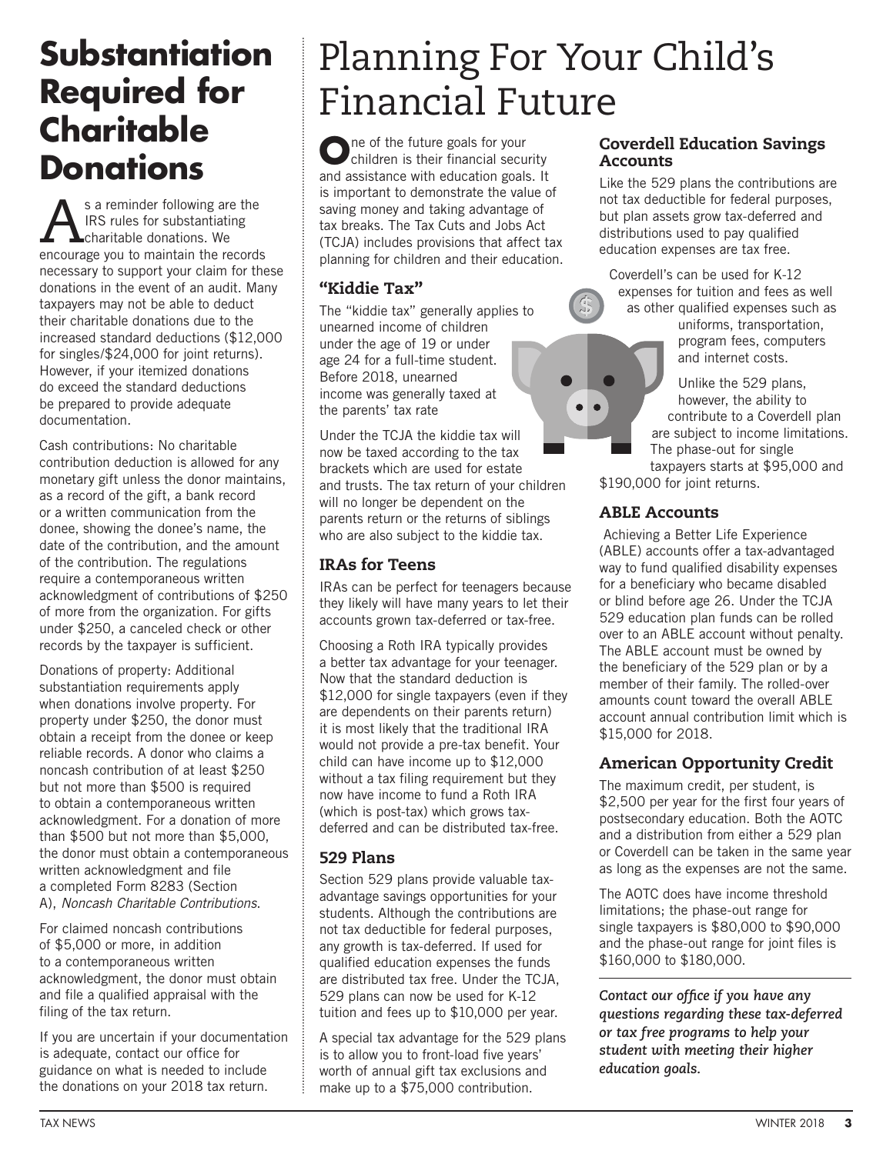# **Substantiation Required for Charitable Donations** and assistance with education goals

s a reminder following are the IRS rules for substantiating **L**charitable donations. We encourage you to maintain the records necessary to support your claim for these donations in the event of an audit. Many taxpayers may not be able to deduct their charitable donations due to the increased standard deductions (\$12,000 for singles/\$24,000 for joint returns). However, if your itemized donations do exceed the standard deductions be prepared to provide adequate documentation.

Cash contributions: No charitable contribution deduction is allowed for any monetary gift unless the donor maintains, as a record of the gift, a bank record or a written communication from the donee, showing the donee's name, the date of the contribution, and the amount of the contribution. The regulations require a contemporaneous written acknowledgment of contributions of \$250 of more from the organization. For gifts under \$250, a canceled check or other records by the taxpayer is sufficient.

Donations of property: Additional substantiation requirements apply when donations involve property. For property under \$250, the donor must obtain a receipt from the donee or keep reliable records. A donor who claims a noncash contribution of at least \$250 but not more than \$500 is required to obtain a contemporaneous written acknowledgment. For a donation of more than \$500 but not more than \$5,000, the donor must obtain a contemporaneous written acknowledgment and file a completed Form 8283 (Section A), *Noncash Charitable Contributions*.

For claimed noncash contributions of \$5,000 or more, in addition to a contemporaneous written acknowledgment, the donor must obtain and file a qualified appraisal with the filing of the tax return.

If you are uncertain if your documentation is adequate, contact our office for guidance on what is needed to include the donations on your 2018 tax return.

# Planning For Your Child's Financial Future

children is their financial security and assistance with education goals. It is important to demonstrate the value of saving money and taking advantage of tax breaks. The Tax Cuts and Jobs Act (TCJA) includes provisions that affect tax planning for children and their education.

# "Kiddie Tax"

The "kiddie tax" generally applies to unearned income of children under the age of 19 or under age 24 for a full-time student. Before 2018, unearned income was generally taxed at the parents' tax rate

Under the TCJA the kiddie tax will now be taxed according to the tax brackets which are used for estate and trusts. The tax return of your children will no longer be dependent on the parents return or the returns of siblings who are also subject to the kiddie tax.

# IRAs for Teens

IRAs can be perfect for teenagers because they likely will have many years to let their accounts grown tax-deferred or tax-free.

Choosing a Roth IRA typically provides a better tax advantage for your teenager. Now that the standard deduction is \$12,000 for single taxpayers (even if they are dependents on their parents return) it is most likely that the traditional IRA would not provide a pre-tax benefit. Your child can have income up to \$12,000 without a tax filing requirement but they now have income to fund a Roth IRA (which is post-tax) which grows taxdeferred and can be distributed tax-free.

# 529 Plans

Section 529 plans provide valuable taxadvantage savings opportunities for your students. Although the contributions are not tax deductible for federal purposes, any growth is tax-deferred. If used for qualified education expenses the funds are distributed tax free. Under the TCJA, 529 plans can now be used for K-12 tuition and fees up to \$10,000 per year.

A special tax advantage for the 529 plans is to allow you to front-load five years' worth of annual gift tax exclusions and make up to a \$75,000 contribution.

## Coverdell Education Savings Accounts

Like the 529 plans the contributions are not tax deductible for federal purposes, but plan assets grow tax-deferred and distributions used to pay qualified education expenses are tax free.

Coverdell's can be used for K-12 expenses for tuition and fees as well as other qualified expenses such as

uniforms, transportation, program fees, computers and internet costs.

Unlike the 529 plans, however, the ability to contribute to a Coverdell plan are subject to income limitations. The phase-out for single

taxpayers starts at \$95,000 and \$190,000 for joint returns.

# ABLE Accounts

 Achieving a Better Life Experience (ABLE) accounts offer a tax-advantaged way to fund qualified disability expenses for a beneficiary who became disabled or blind before age 26. Under the TCJA 529 education plan funds can be rolled over to an ABLE account without penalty. The ABLE account must be owned by the beneficiary of the 529 plan or by a member of their family. The rolled-over amounts count toward the overall ABLE account annual contribution limit which is \$15,000 for 2018.

# American Opportunity Credit

The maximum credit, per student, is \$2,500 per year for the first four years of postsecondary education. Both the AOTC and a distribution from either a 529 plan or Coverdell can be taken in the same year as long as the expenses are not the same.

The AOTC does have income threshold limitations; the phase-out range for single taxpayers is \$80,000 to \$90,000 and the phase-out range for joint files is \$160,000 to \$180,000.

*Contact our office if you have any questions regarding these tax-deferred or tax free programs to help your student with meeting their higher education goals.*